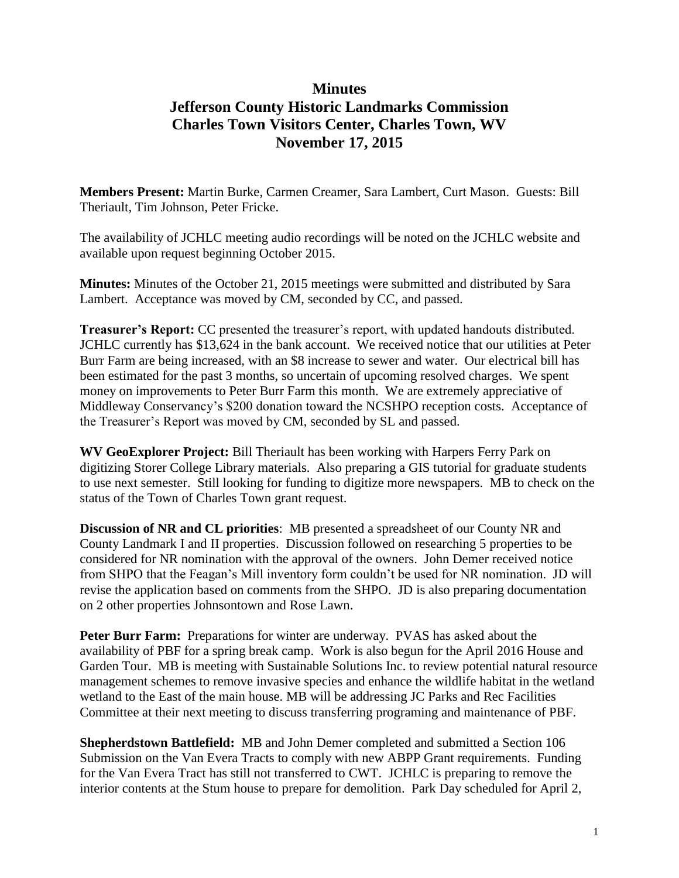## **Minutes Jefferson County Historic Landmarks Commission Charles Town Visitors Center, Charles Town, WV November 17, 2015**

**Members Present:** Martin Burke, Carmen Creamer, Sara Lambert, Curt Mason. Guests: Bill Theriault, Tim Johnson, Peter Fricke.

The availability of JCHLC meeting audio recordings will be noted on the JCHLC website and available upon request beginning October 2015.

**Minutes:** Minutes of the October 21, 2015 meetings were submitted and distributed by Sara Lambert. Acceptance was moved by CM, seconded by CC, and passed.

**Treasurer's Report:** CC presented the treasurer's report, with updated handouts distributed. JCHLC currently has \$13,624 in the bank account. We received notice that our utilities at Peter Burr Farm are being increased, with an \$8 increase to sewer and water. Our electrical bill has been estimated for the past 3 months, so uncertain of upcoming resolved charges. We spent money on improvements to Peter Burr Farm this month. We are extremely appreciative of Middleway Conservancy's \$200 donation toward the NCSHPO reception costs. Acceptance of the Treasurer's Report was moved by CM, seconded by SL and passed.

**WV GeoExplorer Project:** Bill Theriault has been working with Harpers Ferry Park on digitizing Storer College Library materials. Also preparing a GIS tutorial for graduate students to use next semester. Still looking for funding to digitize more newspapers. MB to check on the status of the Town of Charles Town grant request.

**Discussion of NR and CL priorities**: MB presented a spreadsheet of our County NR and County Landmark I and II properties. Discussion followed on researching 5 properties to be considered for NR nomination with the approval of the owners. John Demer received notice from SHPO that the Feagan's Mill inventory form couldn't be used for NR nomination. JD will revise the application based on comments from the SHPO. JD is also preparing documentation on 2 other properties Johnsontown and Rose Lawn.

**Peter Burr Farm:** Preparations for winter are underway. PVAS has asked about the availability of PBF for a spring break camp. Work is also begun for the April 2016 House and Garden Tour. MB is meeting with Sustainable Solutions Inc. to review potential natural resource management schemes to remove invasive species and enhance the wildlife habitat in the wetland wetland to the East of the main house. MB will be addressing JC Parks and Rec Facilities Committee at their next meeting to discuss transferring programing and maintenance of PBF.

**Shepherdstown Battlefield:** MB and John Demer completed and submitted a Section 106 Submission on the Van Evera Tracts to comply with new ABPP Grant requirements. Funding for the Van Evera Tract has still not transferred to CWT. JCHLC is preparing to remove the interior contents at the Stum house to prepare for demolition. Park Day scheduled for April 2,